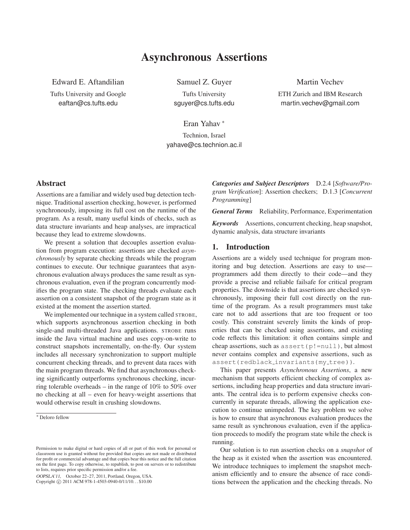# **Asynchronous Assertions**

Edward E. Aftandilian

Tufts University and Google eaftan@cs.tufts.edu

Samuel Z. Guyer

Tufts University sguyer@cs.tufts.edu

Martin Vechev ETH Zurich and IBM Research martin.vechev@gmail.com

Eran Yahav <sup>∗</sup> Technion, Israel yahave@cs.technion.ac.il

# **Abstract**

Assertions are a familiar and widely used bug detection technique. Traditional assertion checking, however, is performed synchronously, imposing its full cost on the runtime of the program. As a result, many useful kinds of checks, such as data structure invariants and heap analyses, are impractical because they lead to extreme slowdowns.

We present a solution that decouples assertion evaluation from program execution: assertions are checked *asynchronously* by separate checking threads while the program continues to execute. Our technique guarantees that asynchronous evaluation always produces the same result as synchronous evaluation, even if the program concurrently modifies the program state. The checking threads evaluate each assertion on a consistent snapshot of the program state as it existed at the moment the assertion started.

We implemented our technique in a system called STROBE, which supports asynchronous assertion checking in both single-and multi-threaded Java applications. STROBE runs inside the Java virtual machine and uses copy-on-write to construct snapshots incrementally, on-the-fly. Our system includes all necessary synchronization to support multiple concurrent checking threads, and to prevent data races with the main program threads. We find that asynchronous checking significantly outperforms synchronous checking, incurring tolerable overheads – in the range of 10% to 50% over no checking at all – even for heavy-weight assertions that would otherwise result in crushing slowdowns.

OOPSLA'11, October 22–27, 2011, Portland, Oregon, USA.

Copyright © 2011 ACM 978-1-4503-0940-0/11/10... \$10.00

*Categories and Subject Descriptors* D.2.4 [*Software/Program Verification*]: Assertion checkers; D.1.3 [*Concurrent Programming*]

*General Terms* Reliability, Performance, Experimentation

*Keywords* Assertions, concurrent checking, heap snapshot, dynamic analysis, data structure invariants

# **1. Introduction**

Assertions are a widely used technique for program monitoring and bug detection. Assertions are easy to use programmers add them directly to their code—and they provide a precise and reliable failsafe for critical program properties. The downside is that assertions are checked synchronously, imposing their full cost directly on the runtime of the program. As a result programmers must take care not to add assertions that are too frequent or too costly. This constraint severely limits the kinds of properties that can be checked using assertions, and existing code reflects this limitation: it often contains simple and cheap assertions, such as  $assert(p!=null)$ , but almost never contains complex and expensive assertions, such as assert(redblack invariants(my tree)).

This paper presents *Asynchronous Assertions*, a new mechanism that supports efficient checking of complex assertions, including heap properties and data structure invariants. The central idea is to perform expensive checks concurrently in separate threads, allowing the application execution to continue unimpeded. The key problem we solve is how to ensure that asynchronous evaluation produces the same result as synchronous evaluation, even if the application proceeds to modify the program state while the check is running.

Our solution is to run assertion checks on a *snapshot* of the heap as it existed when the assertion was encountered. We introduce techniques to implement the snapshot mechanism efficiently and to ensure the absence of race conditions between the application and the checking threads. No

<sup>∗</sup> Deloro fellow

Permission to make digital or hard copies of all or part of this work for personal or classroom use is granted without fee provided that copies are not made or distributed for profit or commercial advantage and that copies bear this notice and the full citation on the first page. To copy otherwise, to republish, to post on servers or to redistribute to lists, requires prior specific permission and/or a fee.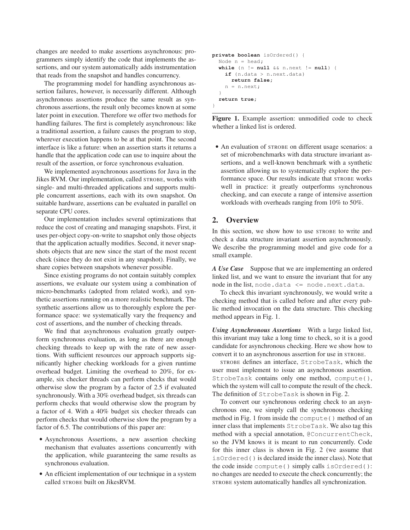changes are needed to make assertions asynchronous: programmers simply identify the code that implements the assertions, and our system automatically adds instrumentation that reads from the snapshot and handles concurrency.

The programming model for handling asynchronous assertion failures, however, is necessarily different. Although asynchronous assertions produce the same result as synchronous assertions, the result only becomes known at some later point in execution. Therefore we offer two methods for handling failures. The first is completely asynchronous: like a traditional assertion, a failure causes the program to stop, wherever execution happens to be at that point. The second interface is like a future: when an assertion starts it returns a handle that the application code can use to inquire about the result of the assertion, or force synchronous evaluation.

We implemented asynchronous assertions for Java in the Jikes RVM. Our implementation, called STROBE, works with single- and multi-threaded applications and supports multiple concurrent assertions, each with its own snapshot. On suitable hardware, assertions can be evaluated in parallel on separate CPU cores.

Our implementation includes several optimizations that reduce the cost of creating and managing snapshots. First, it uses per-object copy-on-write to snapshot only those objects that the application actually modifies. Second, it never snapshots objects that are new since the start of the most recent check (since they do not exist in any snapshot). Finally, we share copies between snapshots whenever possible.

Since existing programs do not contain suitably complex assertions, we evaluate our system using a combination of micro-benchmarks (adopted from related work), and synthetic assertions running on a more realistic benchmark. The synthetic assertions allow us to thoroughly explore the performance space: we systematically vary the frequency and cost of assertions, and the number of checking threads.

We find that asynchronous evaluation greatly outperform synchronous evaluation, as long as there are enough checking threads to keep up with the rate of new assertions. With sufficient resources our approach supports significantly higher checking workloads for a given runtime overhead budget. Limiting the overhead to 20%, for example, six checker threads can perform checks that would otherwise slow the program by a factor of 2.5 if evaluated synchronously. With a 30% overhead budget, six threads can perform checks that would otherwise slow the program by a factor of 4. With a 40% budget six checker threads can perform checks that would otherwise slow the program by a factor of 6.5. The contributions of this paper are:

- Asynchronous Assertions, a new assertion checking mechanism that evaluates assertions concurrently with the application, while guaranteeing the same results as synchronous evaluation.
- An efficient implementation of our technique in a system called STROBE built on JikesRVM.

```
private boolean isOrdered() {
  Node n = head:
  while (n != null && n.next != null) {
    if (n.data > n.next.data)
      return false;
    n = n.next;
  }
  return true;
}
```
**Figure 1.** Example assertion: unmodified code to check whether a linked list is ordered.

• An evaluation of STROBE on different usage scenarios: a set of microbenchmarks with data structure invariant assertions, and a well-known benchmark with a synthetic assertion allowing us to systematically explore the performance space. Our results indicate that STROBE works well in practice: it greatly outperforms synchronous checking, and can execute a range of intensive assertion workloads with overheads ranging from 10% to 50%.

# **2. Overview**

In this section, we show how to use STROBE to write and check a data structure invariant assertion asynchronously. We describe the programming model and give code for a small example.

*A Use Case* Suppose that we are implementing an ordered linked list, and we want to ensure the invariant that for any node in the list, node.data  $\leq$  node.next.data.

To check this invariant synchronously, we would write a checking method that is called before and after every public method invocation on the data structure. This checking method appears in Fig. 1.

*Using Asynchronous Assertions* With a large linked list, this invariant may take a long time to check, so it is a good candidate for asynchronous checking. Here we show how to convert it to an asynchronous assertion for use in STROBE.

STROBE defines an interface, StrobeTask, which the user must implement to issue an asynchronous assertion. StrobeTask contains only one method, compute(), which the system will call to compute the result of the check. The definition of StrobeTask is shown in Fig. 2.

To convert our synchronous ordering check to an asynchronous one, we simply call the synchronous checking method in Fig. 1 from inside the compute() method of an inner class that implements StrobeTask. We also tag this method with a special annotation, @ConcurrentCheck, so the JVM knows it is meant to run concurrently. Code for this inner class is shown in Fig. 2 (we assume that isOrdered() is declared inside the inner class). Note that the code inside compute() simply calls isOrdered(): no changes are needed to execute the check concurrently; the STROBE system automatically handles all synchronization.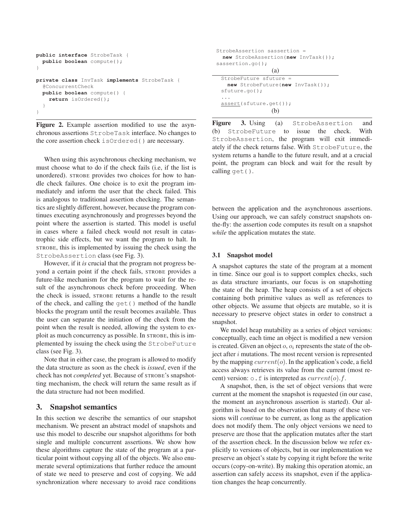```
public interface StrobeTask {
 public boolean compute();
}
private class InvTask implements StrobeTask {
  @ConcurrentCheck
 public boolean compute() {
   return isOrdered();
  }
}
```
**Figure 2.** Example assertion modified to use the asynchronous assertions StrobeTask interface. No changes to the core assertion check isOrdered() are necessary.

When using this asynchronous checking mechanism, we must choose what to do if the check fails (i.e, if the list is unordered). STROBE provides two choices for how to handle check failures. One choice is to exit the program immediately and inform the user that the check failed. This is analogous to traditional assertion checking. The semantics are slightly different, however, because the program continues executing asynchronously and progresses beyond the point where the assertion is started. This model is useful in cases where a failed check would not result in catastrophic side effects, but we want the program to halt. In STROBE, this is implemented by issuing the check using the StrobeAssertion class (see Fig. 3).

However, if it *is* crucial that the program not progress beyond a certain point if the check fails, STROBE provides a future-like mechanism for the program to wait for the result of the asynchronous check before proceeding. When the check is issued, STROBE returns a handle to the result of the check, and calling the get() method of the handle blocks the program until the result becomes available. Thus the user can separate the initiation of the check from the point when the result is needed, allowing the system to exploit as much concurrency as possible. In STROBE, this is implemented by issuing the check using the StrobeFuture class (see Fig. 3).

Note that in either case, the program is allowed to modify the data structure as soon as the check is *issued*, even if the check has not *completed* yet. Because of STROBE's snapshotting mechanism, the check will return the same result as if the data structure had not been modified.

### **3. Snapshot semantics**

In this section we describe the semantics of our snapshot mechanism. We present an abstract model of snapshots and use this model to describe our snapshot algorithms for both single and multiple concurrent assertions. We show how these algorithms capture the state of the program at a particular point without copying all of the objects. We also enumerate several optimizations that further reduce the amount of state we need to preserve and cost of copying. We add synchronization where necessary to avoid race conditions

```
StrobeAssertion sassertion =
 new StrobeAssertion(new InvTask());
sassertion.go();
                  (a)
 StrobeFuture sfuture =
   new StrobeFuture(new InvTask());
 sfuture.go();
 ...
 assert(sfuture.get());
                  (b)
```
**Figure 3.** Using (a) StrobeAssertion and (b) StrobeFuture to issue the check. With StrobeAssertion, the program will exit immediately if the check returns false. With StrobeFuture, the system returns a handle to the future result, and at a crucial point, the program can block and wait for the result by calling get().

between the application and the asynchronous assertions. Using our approach, we can safely construct snapshots onthe-fly: the assertion code computes its result on a snapshot *while* the application mutates the state.

#### **3.1 Snapshot model**

A snapshot captures the state of the program at a moment in time. Since our goal is to support complex checks, such as data structure invariants, our focus is on snapshotting the state of the heap. The heap consists of a set of objects containing both primitive values as well as references to other objects. We assume that objects are mutable, so it is necessary to preserve object states in order to construct a snapshot.

We model heap mutability as a series of object versions: conceptually, each time an object is modified a new version is created. Given an object  $o$ ,  $o_i$  represents the state of the object after  $i$  mutations. The most recent version is represented by the mapping  $current(o)$ . In the application's code, a field access always retrieves its value from the current (most recent) version:  $\circ$ . f is interpreted as *current*(*o*). f.

A snapshot, then, is the set of object versions that were current at the moment the snapshot is requested (in our case, the moment an asynchronous assertion is started). Our algorithm is based on the observation that many of these versions will *continue* to be current, as long as the application does not modify them. The only object versions we need to preserve are those that the application mutates after the start of the assertion check. In the discussion below we refer explicitly to versions of objects, but in our implementation we preserve an object's state by copying it right before the write occurs (copy-on-write). By making this operation atomic, an assertion can safely access its snapshot, even if the application changes the heap concurrently.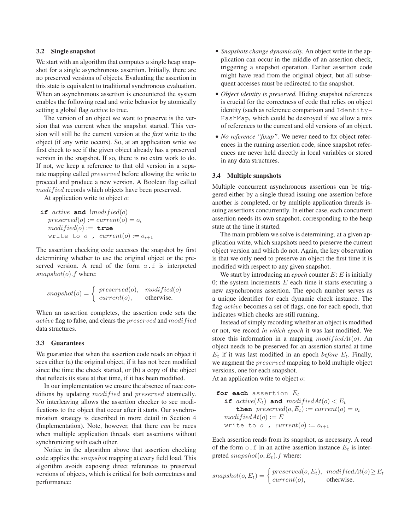#### **3.2 Single snapshot**

We start with an algorithm that computes a single heap snapshot for a single asynchronous assertion. Initially, there are no preserved versions of objects. Evaluating the assertion in this state is equivalent to traditional synchronous evaluation. When an asynchronous assertion is encountered the system enables the following read and write behavior by atomically setting a global flag  $active$  to true.

The version of an object we want to preserve is the version that was current when the snapshot started. This version will still be the current version at the *first* write to the object (if any write occurs). So, at an application write we first check to see if the given object already has a preserved version in the snapshot. If so, there is no extra work to do. If not, we keep a reference to that old version in a separate mapping called preserved before allowing the write to proceed and produce a new version. A Boolean flag called modified records which objects have been preserved.

At application write to object  $\alpha$ :

**if** active **and** !modified(o) preserved(o) := current(o) = o<sup>i</sup> modified(o) := **true** write to o , current(o) := oi+1

The assertion checking code accesses the snapshot by first determining whether to use the original object or the preserved version. A read of the form  $\circ$  f is interpreted  $snapshot(o)$ . f where:

$$
snapshot(o) = \begin{cases} \text{ preserved}(o), & \text{modified}(o) \\ \text{current}(o), & \text{otherwise.} \end{cases}
$$

When an assertion completes, the assertion code sets the active flag to false, and clears the preserved and modified data structures.

#### **3.3 Guarantees**

We guarantee that when the assertion code reads an object it sees either (a) the original object, if it has not been modified since the time the check started, or (b) a copy of the object that reflects its state at that time, if it has been modified.

In our implementation we ensure the absence of race conditions by updating *modified* and *preserved* atomically. No interleaving allows the assertion checker to see modifications to the object that occur after it starts. Our synchronization strategy is described in more detail in Section 4 (Implementation). Note, however, that there *can* be races when multiple application threads start assertions without synchronizing with each other.

Notice in the algorithm above that assertion checking code applies the snapshot mapping at every field load. This algorithm avoids exposing direct references to preserved versions of objects, which is critical for both correctness and performance:

- *Snapshots change dynamically.* An object write in the application can occur in the middle of an assertion check, triggering a snapshot operation. Earlier assertion code might have read from the original object, but all subsequent accesses must be redirected to the snapshot.
- *Object identity is preserved.* Hiding snapshot references is crucial for the correctness of code that relies on object identity (such as reference comparison and Identity-HashMap, which could be destroyed if we allow a mix of references to the current and old versions of an object.
- *No reference "fixup".* We never need to fix object references in the running assertion code, since snapshot references are never held directly in local variables or stored in any data structures.

#### **3.4 Multiple snapshots**

Multiple concurrent asynchronous assertions can be triggered either by a single thread issuing one assertion before another is completed, or by multiple application threads issuing assertions concurrently. In either case, each concurrent assertion needs its own snapshot, corresponding to the heap state at the time it started.

The main problem we solve is determining, at a given application write, which snapshots need to preserve the current object version and which do not. Again, the key observation is that we only need to preserve an object the first time it is modified with respect to any given snapshot.

We start by introducing an *epoch* counter E: E is initially 0; the system increments  $E$  each time it starts executing a new asynchronous assertion. The epoch number serves as a unique identifier for each dynamic check instance. The flag active becomes a set of flags, one for each epoch, that indicates which checks are still running.

Instead of simply recording whether an object is modified or not, we record *in which epoch* it was last modified. We store this information in a mapping  $modifiedAt(o)$ . An object needs to be preserved for an assertion started at time  $E_t$  if it was last modified in an epoch *before*  $E_t$ . Finally, we augment the preserved mapping to hold multiple object versions, one for each snapshot.

At an application write to object  $o$ :

```
\nfor each assertion 
$$
E_t
$$
\nif active( $E_t$ ) and modified $At(o) < E_t$ \nthen preserved( $o, E_t$ ) := current( $o$ ) =  $o_i$ \nmodified $At(o) := E$ \nwrite to  $o$ , current( $o$ ) :=  $o_{i+1}$ \n
```

Each assertion reads from its snapshot, as necessary. A read of the form  $\circ$ . f in an active assertion instance  $E_t$  is interpreted snapshot $(o, E_t)$ . f where:

$$
snapshot(o, E_t) = \begin{cases} preserved(o, E_t),\ \, modifiedAt(o) \ge E_t\\ current(o), \end{cases}
$$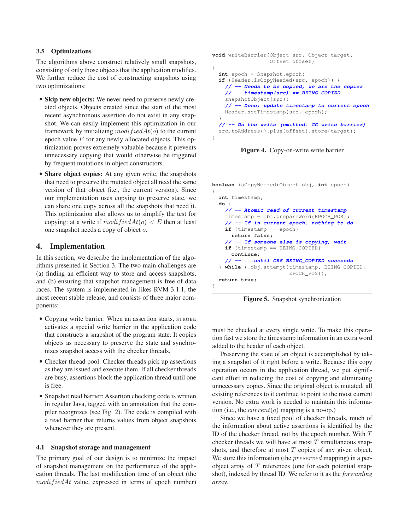### **3.5 Optimizations**

The algorithms above construct relatively small snapshots, consisting of only those objects that the application modifies. We further reduce the cost of constructing snapshots using two optimizations:

- **Skip new objects:** We never need to preserve newly created objects. Objects created since the start of the most recent asynchronous assertion do not exist in any snapshot. We can easily implement this optimization in our framework by initializing  $modifiedAt(o)$  to the current epoch value  $E$  for any newly allocated objects. This optimization proves extremely valuable because it prevents unnecessary copying that would otherwise be triggered by frequent mutations in object constructors.
- **Share object copies:** At any given write, the snapshots that need to preserve the mutated object all need the same version of that object (i.e., the current version). Since our implementation uses copying to preserve state, we can share one copy across all the snapshots that need it. This optimization also allows us to simplify the test for copying: at a write if  $modifiedAt(o) < E$  then at least one snapshot needs a copy of object o.

# **4. Implementation**

In this section, we describe the implementation of the algorithms presented in Section 3. The two main challenges are (a) finding an efficient way to store and access snapshots, and (b) ensuring that snapshot management is free of data races. The system is implemented in Jikes RVM 3.1.1, the most recent stable release, and consists of three major components:

- Copying write barrier: When an assertion starts, STROBE activates a special write barrier in the application code that constructs a snapshot of the program state. It copies objects as necessary to preserve the state and synchronizes snapshot access with the checker threads.
- Checker thread pool: Checker threads pick up assertions as they are issued and execute them. If all checker threads are busy, assertions block the application thread until one is free.
- Snapshot read barrier: Assertion checking code is written in regular Java, tagged with an annotation that the compiler recognizes (see Fig. 2). The code is compiled with a read barrier that returns values from object snapshots whenever they are present.

#### **4.1 Snapshot storage and management**

The primary goal of our design is to minimize the impact of snapshot management on the performance of the application threads. The last modification time of an object (the modifiedAt value, expressed in terms of epoch number)



**Figure 4.** Copy-on-write write barrier

```
boolean isCopyNeeded(Object obj, int epoch)
{
  int timestamp;
  do {
    // -- Atomic read of current timestamp
    timestamp = obj.prepareWord(EPOCH_POS);
    // -- If in current epoch, nothing to do
    if (timestamp == epoch)
     return false;
    // -- If someone else is copying, wait
    if (timestamp == BEING_COPIED)
      continue;
    // -- ...until CAS BEING_COPIED succeeds
  } while (!obj.attempt(timestamp, BEING_COPIED,
                        EPOCH_POS));
  return true;
}
```
**Figure 5.** Snapshot synchronization

must be checked at every single write. To make this operation fast we store the timestamp information in an extra word added to the header of each object.

Preserving the state of an object is accomplished by taking a snapshot of it right before a write. Because this copy operation occurs in the application thread, we put significant effort in reducing the cost of copying and eliminating unnecessary copies. Since the original object is mutated, all existing references to it continue to point to the most current version. No extra work is needed to maintain this information (i.e., the  $current(o)$  mapping is a no-op.)

Since we have a fixed pool of checker threads, much of the information about active assertions is identified by the ID of the checker thread, not by the epoch number. With  $T$ checker threads we will have at most  $T$  simultaneous snapshots, and therefore at most  $T$  copies of any given object. We store this information (the *preserved* mapping) in a perobject array of  $T$  references (one for each potential snapshot), indexed by thread ID. We refer to it as the *forwarding array*.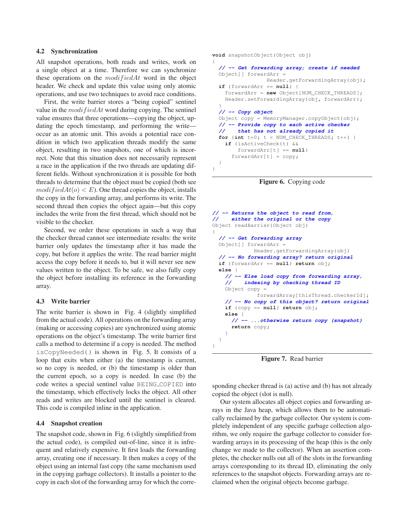#### **4.2 Synchronization**

All snapshot operations, both reads and writes, work on a single object at a time. Therefore we can synchronize these operations on the *modifiedAt* word in the object header. We check and update this value using only atomic operations, and use two techniques to avoid race conditions.

First, the write barrier stores a "being copied" sentinel value in the  $modifiedAt$  word during copying. The sentinel value ensures that three operations—copying the object, updating the epoch timestamp, and performing the write occur as an atomic unit. This avoids a potential race condition in which two application threads modify the same object, resulting in two snapshots, one of which is incorrect. Note that this situation does not necessarily represent a race in the application if the two threads are updating different fields. Without synchronization it is possible for both threads to determine that the object must be copied (both see  $modifiedAt(o) < E$ ). One thread copies the object, installs the copy in the forwarding array, and performs its write. The second thread then copies the object again—but this copy includes the write from the first thread, which should not be visible to the checker.

Second, we order these operations in such a way that the checker thread cannot see intermediate results: the write barrier only updates the timestamp after it has made the copy, but before it applies the write. The read barrier might access the copy before it needs to, but it will never see new values written to the object. To be safe, we also fully copy the object before installing its reference in the forwarding array.

#### **4.3 Write barrier**

The write barrier is shown in Fig. 4 (slightly simplified from the actual code). All operations on the forwarding array (making or accessing copies) are synchronized using atomic operations on the object's timestamp. The write barrier first calls a method to determine if a copy is needed. The method isCopyNeeded() is shown in Fig. 5. It consists of a loop that exits when either (a) the timestamp is current, so no copy is needed, or (b) the timestamp is older than the current epoch, so a copy is needed. In case (b) the code writes a special sentinel value BEING COPIED into the timestamp, which effectively locks the object. All other reads and writes are blocked until the sentinel is cleared. This code is compiled inline in the application.

#### **4.4 Snapshot creation**

The snapshot code, shown in Fig. 6 (slightly simplified from the actual code), is compiled out-of-line, since it is infrequent and relatively expensive. It first loads the forwarding array, creating one if necessary. It then makes a copy of the object using an internal fast copy (the same mechanism used in the copying garbage collectors). It installs a pointer to the copy in each slot of the forwarding array for which the corre-

```
void snapshotObject(Object obj)
{
  // -- Get forwarding array; create if needed
  Object[] forwardArr =
                 Header.getForwardingArray(obj);
  if (forwardArr == null) {
    forwardArr = new Object[NUM_CHECK_THREADS];
    Header.setForwardingArray(obj, forwardArr);
  }
  // -- Copy object
  Object copy = MemoryManager.copyObject(obj);
  // -- Provide copy to each active checker
  // that has not already copied it
  for (int t=0; t < NUM\_CHECK_THREADS; t++) {
    if (isActiveCheck(t) &&
        forwardArr[t] == null)
      forwardArr[t] = copy;
  }
}
```
**Figure 6.** Copying code

```
// -- Returns the object to read from,
// either the original or the copy
Object readBarrier(Object obj)
{
  // -- Get forwarding array
  Object[] forwardArr =
             Header.getForwardingArray(obj)
  // -- No forwarding array? return original
  if (forwardArr == null) return obj;
  else {
    // -- Else load copy from forwarding array,
    // indexing by checking thread ID
    Object copy =
              forwardArray[thisThread.checkerId];
    // -- No copy of this object? return original
    if (copy == null) return obj;
    else {
      // -- ...otherwise return copy (snapshot)
      return copy;
    }
  }
}
```
**Figure 7.** Read barrier

sponding checker thread is (a) active and (b) has not already copied the object (slot is null).

Our system allocates all object copies and forwarding arrays in the Java heap, which allows them to be automatically reclaimed by the garbage collector. Our system is completely independent of any specific garbage collection algorithm, we only require the garbage collector to consider forwarding arrays in its processing of the heap (this is the only change we made to the collector). When an assertion completes, the checker nulls out all of the slots in the forwarding arrays corresponding to its thread ID, eliminating the only references to the snapshot objects. Forwarding arrays are reclaimed when the original objects become garbage.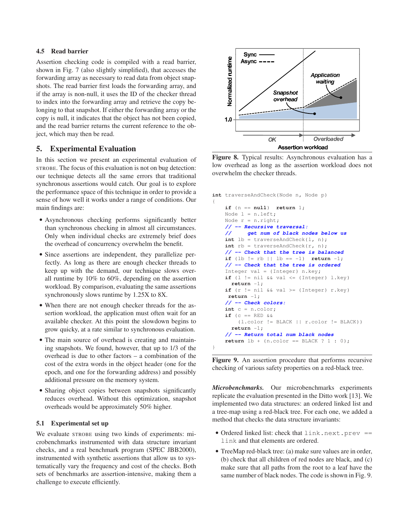# **4.5 Read barrier**

Assertion checking code is compiled with a read barrier, shown in Fig. 7 (also slightly simplified), that accesses the forwarding array as necessary to read data from object snapshots. The read barrier first loads the forwarding array, and if the array is non-null, it uses the ID of the checker thread to index into the forwarding array and retrieve the copy belonging to that snapshot. If either the forwarding array or the copy is null, it indicates that the object has not been copied, and the read barrier returns the current reference to the object, which may then be read.

# **5. Experimental Evaluation**

In this section we present an experimental evaluation of STROBE. The focus of this evaluation is not on bug detection: our technique detects all the same errors that traditional synchronous assertions would catch. Our goal is to explore the performance space of this technique in order to provide a sense of how well it works under a range of conditions. Our main findings are:

- Asynchronous checking performs significantly better than synchronous checking in almost all circumstances. Only when individual checks are extremely brief does the overhead of concurrency overwhelm the benefit.
- Since assertions are independent, they parallelize perfectly. As long as there are enough checker threads to keep up with the demand, our technique slows overall runtime by 10% to 60%, depending on the assertion workload. By comparison, evaluating the same assertions synchronously slows runtime by 1.25X to 8X.
- When there are not enough checker threads for the assertion workload, the application must often wait for an available checker. At this point the slowdown begins to grow quicky, at a rate similar to synchronous evaluation.
- The main source of overhead is creating and maintaining snapshots. We found, however, that up to 1/3 of the overhead is due to other factors – a combination of the cost of the extra words in the object header (one for the epoch, and one for the forwarding address) and possibly additional pressure on the memory system.
- Sharing object copies between snapshots significantly reduces overhead. Without this optimization, snapshot overheads would be approximately 50% higher.

### **5.1 Experimental set up**

We evaluate STROBE using two kinds of experiments: microbenchmarks instrumented with data structure invariant checks, and a real benchmark program (SPEC JBB2000), instrumented with synthetic assertions that allow us to systematically vary the frequency and cost of the checks. Both sets of benchmarks are assertion-intensive, making them a challenge to execute efficiently.



**Figure 8.** Typical results: Asynchronous evaluation has a low overhead as long as the assertion workload does not overwhelm the checker threads.

```
int traverseAndCheck(Node n, Node p)
```

```
{
    if (n == null) return 1;
    Node l = n.left;Node r = n.right;// -- Recursive traversal:
    // get num of black nodes below us
    int lb = traverseAndCheck(l, n);
    int rb = traverseAndCheck(r, n);
    // -- Check that the tree is balanced
    if (lb != rb || lb == -1) return -1;
    // -- Check that the tree is ordered
    Integer val = (Integer) n.key;
    if (1 \mid \cdot) = \text{nil} & \infty val \leq (Integer) 1 \cdot \text{key})
      return -1;
    if (r := nil \& val >= (Integer) r.key)return -1;
    // -- Check colors:
    int c = n.color;
    if (c == RED &&
        (l.color != BLACK || r.color != BLACK))
      return -1;
    // -- Return total num black nodes
    return 1b + (n<u>,color == BLACK ? 1 : 0);</u>
```
**Figure 9.** An assertion procedure that performs recursive checking of various safety properties on a red-black tree.

}

*Microbenchmarks.* Our microbenchmarks experiments replicate the evaluation presented in the Ditto work [13]. We implemented two data structures: an ordered linked list and a tree-map using a red-black tree. For each one, we added a method that checks the data structure invariants:

- Ordered linked list: check that link.next.prev == link and that elements are ordered.
- TreeMap red-black tree: (a) make sure values are in order, (b) check that all children of red nodes are black, and (c) make sure that all paths from the root to a leaf have the same number of black nodes. The code is shown in Fig. 9.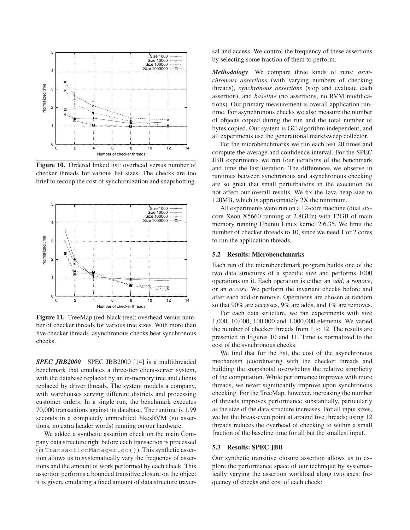

**Figure 10.** Ordered linked list: overhead versus number of checker threads for various list sizes. The checks are too brief to recoup the cost of synchronization and snapshotting.



**Figure 11.** TreeMap (red-black tree): overhead versus number of checker threads for various tree sizes. With more than five checker threads, asynchronous checks beat synchronous checks.

*SPEC JBB2000* SPEC JBB2000 [14] is a multithreaded benchmark that emulates a three-tier client-server system, with the database replaced by an in-memory tree and clients replaced by driver threads. The system models a company, with warehouses serving different districts and processing customer orders. In a single run, the benchmark executes 70,000 transactions against its database. The runtime is 1.99 seconds in a completely unmodified JikesRVM (no assertions, no extra header words) running on our hardware.

We added a synthetic assertion check on the main Company data structure right before each transaction is processed (in TransactionManager.go()). This synthetic assertion allows us to systematically vary the frequency of assertions and the amount of work performed by each check. This assertion performs a bounded transitive closure on the object it is given, emulating a fixed amount of data structure traver-

sal and access. We control the frequency of these assertions by selecting some fraction of them to perform.

*Methodology* We compare three kinds of runs: *asynchronous assertions* (with varying numbers of checking threads), *synchronous assertions* (stop and evaluate each assertion), and *baseline* (no assertions, no RVM modifications). Our primary measurement is overall application runtime. For asynchronous checks we also measure the number of objects copied during the run and the total number of bytes copied. Our system is GC-algorithm independent, and all experiments use the generational mark/sweep collector.

For the microbenchmarks we run each test 20 times and compute the average and confidence interval. For the SPEC JBB experiments we run four iterations of the benchmark and time the last iteration. The differences we observe in runtimes between synchronous and asynchronous checking are so great that small perturbations in the execution do not affect our overall results. We fix the Java heap size to 120MB, which is approximately 2X the minimum.

All experiments were run on a 12-core machine (dual sixcore Xeon X5660 running at 2.8GHz) with 12GB of main memory running Ubuntu Linux kernel 2.6.35. We limit the number of checker threads to 10, since we need 1 or 2 cores to run the application threads.

#### **5.2 Results: Microbenchmarks**

Each run of the microbenchmark program builds one of the two data structures of a specific size and performs 1000 operations on it. Each operation is either an *add*, a *remove*, or an *access*. We perform the invariant checks before and after each add or remove. Operations are chosen at random so that 90% are accesses, 9% are adds, and 1% are removes.

For each data structure, we ran experiments with size 1,000, 10,000, 100,000 and 1,000,000 elements. We varied the number of checker threads from 1 to 12. The results are presented in Figures 10 and 11. Time is normalized to the cost of the synchronous checks.

We find that for the list, the cost of the asynchronous mechanism (coordinating with the checker threads and building the snapshots) overwhelms the relative simplicity of the computation. While performance improves with more threads, we never significantly improve upon synchronous checking. For the TreeMap, however, increasing the number of threads improves performance substantially, particularly as the size of the data structure increases. For all input sizes, we hit the break-even point at around five threads; using 12 threads reduces the overhead of checking to within a small fraction of the baseline time for all but the smallest input.

#### **5.3 Results: SPEC JBB**

Our synthetic transitive closure assertion allows us to explore the performance space of our technique by systematically varying the assertion workload along two axes: frequency of checks and cost of each check: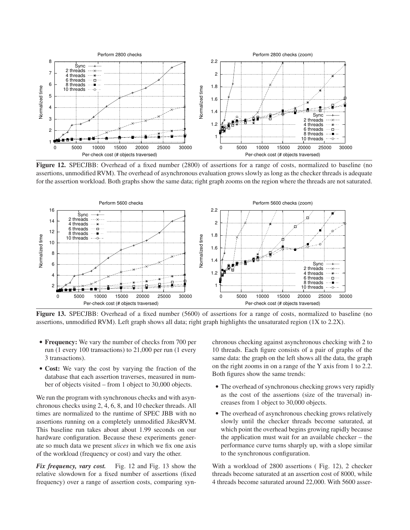

**Figure 12.** SPECJBB: Overhead of a fixed number (2800) of assertions for a range of costs, normalized to baseline (no assertions, unmodified RVM). The overhead of asynchronous evaluation grows slowly as long as the checker threads is adequate for the assertion workload. Both graphs show the same data; right graph zooms on the region where the threads are not saturated.



**Figure 13.** SPECJBB: Overhead of a fixed number (5600) of assertions for a range of costs, normalized to baseline (no assertions, unmodified RVM). Left graph shows all data; right graph highlights the unsaturated region (1X to 2.2X).

- **Frequency:** We vary the number of checks from 700 per run (1 every 100 transactions) to 21,000 per run (1 every 3 transactions).
- **Cost:** We vary the cost by varying the fraction of the database that each assertion traverses, measured in number of objects visited – from 1 object to 30,000 objects.

We run the program with synchronous checks and with asynchronous checks using 2, 4, 6, 8, and 10 checker threads. All times are normalized to the runtime of SPEC JBB with no assertions running on a completely unmodified JikesRVM. This baseline run takes about about 1.99 seconds on our hardware configuration. Because these experiments generate so much data we present *slices* in which we fix one axis of the workload (frequency or cost) and vary the other.

*Fix frequency, vary cost.* Fig. 12 and Fig. 13 show the relative slowdown for a fixed number of assertions (fixed frequency) over a range of assertion costs, comparing syn-

chronous checking against asynchronous checking with 2 to 10 threads. Each figure consists of a pair of graphs of the same data: the graph on the left shows all the data, the graph on the right zooms in on a range of the Y axis from 1 to 2.2. Both figures show the same trends:

- The overhead of synchronous checking grows very rapidly as the cost of the assertions (size of the traversal) increases from 1 object to 30,000 objects.
- The overhead of asynchronous checking grows relatively slowly until the checker threads become saturated, at which point the overhead begins growing rapidly because the application must wait for an available checker – the performance curve turns sharply up, with a slope similar to the synchronous configuration.

With a workload of 2800 assertions ( Fig. 12), 2 checker threads become saturated at an assertion cost of 8000, while 4 threads become saturated around 22,000. With 5600 asser-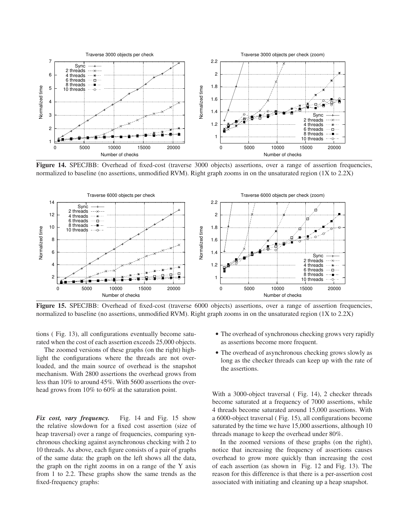

Figure 14. SPECJBB: Overhead of fixed-cost (traverse 3000 objects) assertions, over a range of assertion frequencies, normalized to baseline (no assertions, unmodified RVM). Right graph zooms in on the unsaturated region (1X to 2.2X)



Figure 15. SPECJBB: Overhead of fixed-cost (traverse 6000 objects) assertions, over a range of assertion frequencies, normalized to baseline (no assertions, unmodified RVM). Right graph zooms in on the unsaturated region (1X to 2.2X)

tions ( Fig. 13), all configurations eventually become saturated when the cost of each assertion exceeds 25,000 objects.

The zoomed versions of these graphs (on the right) highlight the configurations where the threads are not overloaded, and the main source of overhead is the snapshot mechanism. With 2800 assertions the overhead grows from less than 10% to around 45%. With 5600 assertions the overhead grows from 10% to 60% at the saturation point.

*Fix cost, vary frequency.* Fig. 14 and Fig. 15 show the relative slowdown for a fixed cost assertion (size of heap traversal) over a range of frequencies, comparing synchronous checking against asynchronous checking with 2 to 10 threads. As above, each figure consists of a pair of graphs of the same data: the graph on the left shows all the data, the graph on the right zooms in on a range of the Y axis from 1 to 2.2. These graphs show the same trends as the fixed-frequency graphs:

- The overhead of synchronous checking grows very rapidly as assertions become more frequent.
- The overhead of asynchronous checking grows slowly as long as the checker threads can keep up with the rate of the assertions.

With a 3000-object traversal ( Fig. 14), 2 checker threads become saturated at a frequency of 7000 assertions, while 4 threads become saturated around 15,000 assertions. With a 6000-object traversal ( Fig. 15), all configurations become saturated by the time we have 15,000 assertions, although 10 threads manage to keep the overhead under 80%.

In the zoomed versions of these graphs (on the right), notice that increasing the frequency of assertions causes overhead to grow more quickly than increasing the cost of each assertion (as shown in Fig. 12 and Fig. 13). The reason for this difference is that there is a per-assertion cost associated with initiating and cleaning up a heap snapshot.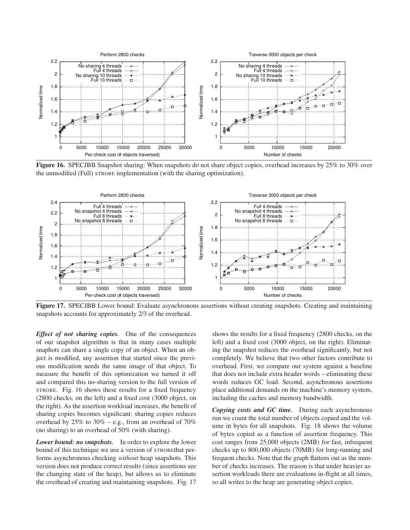

Figure 16. SPECJBB Snapshot sharing: When snapshots do not share object copies, overhead increases by 25% to 30% over the unmodified (Full) STROBE implementation (with the sharing optimization).



**Figure 17.** SPECJBB Lower bound: Evaluate asynchronous assertions without creating snapshots. Creating and maintaining snapshots accounts for approximately 2/3 of the overhead.

*Effect of not sharing copies.* One of the consequences of our snapshot algorithm is that in many cases multiple snaphots can share a single copy of an object. When an object is modified, any assertion that started since the previous modification needs the same image of that object. To measure the benefit of this optimization we turned it off and compared this no-sharing version to the full version of STROBE. Fig. 16 shows these results for a fixed frequency (2800 checks, on the left) and a fixed cost (3000 object, on the right). As the assertion workload increases, the benefit of sharing copies becomes significant: sharing copies reduces overhead by  $25\%$  to  $30\%$  – e.g., from an overhead of  $70\%$ (no sharing) to an overhead of 50% (with sharing).

*Lower bound: no snapshots.* In order to explore the lower bound of this technique we use a version of STROBEthat performs asynchronous checking *without* heap snapshots. This version does not produce correct results (since assertions see the changing state of the heap), but allows us to eliminate the overhead of creating and maintaining snapshots. Fig. 17

shows the results for a fixed frequency (2800 checks, on the left) and a fixed cost (3000 object, on the right). Eliminating the snapshot reduces the overhead significantly, but not completely. We believe that two other factors contribute to overhead. First, we compare our system against a baseline that does not include extra header words – eliminating these words reduces GC load. Second, asynchronous assertions place additional demands on the machine's memory system, including the caches and memory bandwidth.

*Copying costs and GC time.* During each asynchronous run we count the total number of objects copied and the volume in bytes for all snapshots. Fig. 18 shows the volume of bytes copied as a function of assertion frequency. This cost ranges from 25,000 objects (2MB) for fast, infrequent checks up to 800,000 objects (70MB) for long-running and frequent checks. Note that the graph flattens out as the number of checks increases. The reason is that under heavier assertion workloads there are evaluations in-flight at all times, so all writes to the heap are generating object copies.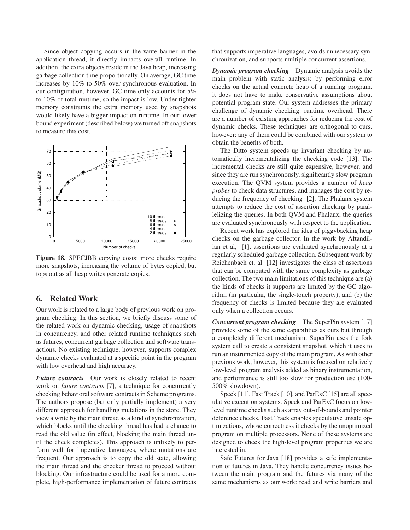Since object copying occurs in the write barrier in the application thread, it directly impacts overall runtime. In addition, the extra objects reside in the Java heap, increasing garbage collection time proportionally. On average, GC time increases by 10% to 50% over synchronous evaluation. In our configuration, however, GC time only accounts for 5% to 10% of total runtime, so the impact is low. Under tighter memory constraints the extra memory used by snapshots would likely have a bigger impact on runtime. In our lower bound experiment (described below) we turned off snapshots to measure this cost.



**Figure 18.** SPECJBB copying costs: more checks require more snapshots, increasing the volume of bytes copied, but tops out as all heap writes generate copies.

### **6. Related Work**

Our work is related to a large body of previous work on program checking. In this section, we briefly discuss some of the related work on dynamic checking, usage of snapshots in concurrency, and other related runtime techniques such as futures, concurrent garbage collection and software transactions. No existing technique, however, supports complex dynamic checks evaluated at a specific point in the program with low overhead and high accuracy.

*Future contracts* Our work is closely related to recent work on *future contracts* [7], a technique for concurrently checking behavioral software contracts in Scheme programs. The authors propose (but only partially implement) a very different approach for handling mutations in the store. They view a write by the main thread as a kind of synchronization, which blocks until the checking thread has had a chance to read the old value (in effect, blocking the main thread until the check completes). This approach is unlikely to perform well for imperative languages, where mutations are frequent. Our approach is to copy the old state, allowing the main thread and the checker thread to proceed without blocking. Our infrastructure could be used for a more complete, high-performance implementation of future contracts

that supports imperative languages, avoids unnecessary synchronization, and supports multiple concurrent assertions.

*Dynamic program checking* Dynamic analysis avoids the main problem with static analysis: by performing error checks on the actual concrete heap of a running program, it does not have to make conservative assumptions about potential program state. Our system addresses the primary challenge of dynamic checking: runtime overhead. There are a number of existing approaches for reducing the cost of dynamic checks. These techniques are orthogonal to ours, however: any of them could be combined with our system to obtain the benefits of both.

The Ditto system speeds up invariant checking by automatically incrementalizing the checking code [13]. The incremental checks are still quite expensive, however, and since they are run synchronously, significantly slow program execution. The QVM system provides a number of *heap probes* to check data structures, and manages the cost by reducing the frequency of checking [2]. The Phalanx system attempts to reduce the cost of assertion checking by parallelizing the queries. In both QVM and Phalanx, the queries are evaluated synchronously with respect to the application.

Recent work has explored the idea of piggybacking heap checks on the garbage collector. In the work by Aftandilian et al, [1], assertions are evaluated synchronously at a regularly scheduled garbage collection. Subsequent work by Reichenbach et. al [12] investigates the class of assertions that can be computed with the same complexity as garbage collection. The two main limitations of this technique are (a) the kinds of checks it supports are limited by the GC algorithm (in particular, the single-touch property), and (b) the frequency of checks is limited because they are evaluated only when a collection occurs.

*Concurrent program checking* The SuperPin system [17] provides some of the same capabilities as ours but through a completely different mechanism. SuperPin uses the fork system call to create a consistent snapshot, which it uses to run an instrumented copy of the main program. As with other previous work, however, this system is focused on relatively low-level program analysis added as binary instrumentation, and performance is still too slow for production use (100- 500% slowdown).

Speck [11], Fast Track [10], and ParExC [15] are all speculative execution systems. Speck and ParExC focus on lowlevel runtime checks such as array out-of-bounds and pointer deference checks. Fast Track enables speculative unsafe optimizations, whose correctness it checks by the unoptimized program on multiple processors. None of these systems are designed to check the high-level program properties we are interested in.

Safe Futures for Java [18] provides a safe implementation of futures in Java. They handle concurrency issues between the main program and the futures via many of the same mechanisms as our work: read and write barriers and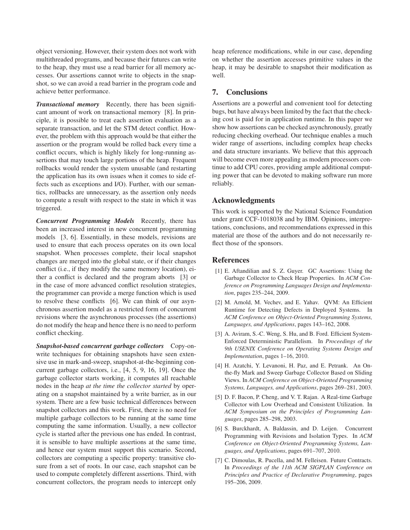object versioning. However, their system does not work with multithreaded programs, and because their futures can write to the heap, they must use a read barrier for all memory accesses. Our assertions cannot write to objects in the snapshot, so we can avoid a read barrier in the program code and achieve better performance.

*Transactional memory* Recently, there has been significant amount of work on transactional memory [8]. In principle, it is possible to treat each assertion evaluation as a separate transaction, and let the STM detect conflict. However, the problem with this approach would be that either the assertion or the program would be rolled back every time a conflict occurs, which is highly likely for long-running assertions that may touch large portions of the heap. Frequent rollbacks would render the system unusable (and restarting the application has its own issues when it comes to side effects such as exceptions and I/O). Further, with our semantics, rollbacks are unnecessary, as the assertion only needs to compute a result with respect to the state in which it was triggered.

*Concurrent Programming Models* Recently, there has been an increased interest in new concurrent programming models [3, 6]. Essentially, in these models, revisions are used to ensure that each process operates on its own local snapshot. When processes complete, their local snapshot changes are merged into the global state, or if their changes conflict (i.e., if they modify the same memory location), either a conflict is declared and the program aborts [3] or in the case of more advanced conflict resolution strategies, the programmer can provide a merge function which is used to resolve these conflicts [6]. We can think of our asynchronous assertion model as a restricted form of concurrent revisions where the asynchronous processes (the assertions) do not modify the heap and hence there is no need to perform conflict checking.

*Snapshot-based concurrent garbage collectors* Copy-onwrite techniques for obtaining snapshots have seen extensive use in mark-and-sweep, snapshot-at-the-beginning concurrent garbage collectors, i.e., [4, 5, 9, 16, 19]. Once the garbage collector starts working, it computes all reachable nodes in the heap *at the time the collector started* by operating on a snapshot maintained by a write barrier, as in our system. There are a few basic technical differences between snapshot collectors and this work. First, there is no need for multiple garbage collectors to be running at the same time computing the same information. Usually, a new collector cycle is started after the previous one has ended. In contrast, it is sensible to have multiple assertions at the same time, and hence our system must support this scenario. Second, collectors are computing a specific property: transitive closure from a set of roots. In our case, each snapshot can be used to compute completely different assertions. Third, with concurrent collectors, the program needs to intercept only heap reference modifications, while in our case, depending on whether the assertion accesses primitive values in the heap, it may be desirable to snapshot their modification as well.

# **7. Conclusions**

Assertions are a powerful and convenient tool for detecting bugs, but have always been limited by the fact that the checking cost is paid for in application runtime. In this paper we show how assertions can be checked asynchronously, greatly reducing checking overhead. Our technique enables a much wider range of assertions, including complex heap checks and data structure invariants. We believe that this approach will become even more appealing as modern processors continue to add CPU cores, providing ample additional computing power that can be devoted to making software run more reliably.

# **Acknowledgments**

This work is supported by the National Science Foundation under grant CCF-1018038 and by IBM. Opinions, interpretations, conclusions, and recommendations expressed in this material are those of the authors and do not necessarily reflect those of the sponsors.

## **References**

- [1] E. Aftandilian and S. Z. Guyer. GC Assertions: Using the Garbage Collector to Check Heap Properties. In *ACM Conference on Programming Languages Design and Implementation*, pages 235–244, 2009.
- [2] M. Arnold, M. Vechev, and E. Yahav. QVM: An Efficient Runtime for Detecting Defects in Deployed Systems. In *ACM Conference on Object-Oriented Programming Systems, Languages, and Applications*, pages 143–162, 2008.
- [3] A. Aviram, S.-C. Weng, S. Hu, and B. Ford. Efficient System-Enforced Deterministic Parallelism. In *Proceedings of the 9th USENIX Conference on Operating Systems Design and Implementation*, pages 1–16, 2010.
- [4] H. Azatchi, Y. Levanoni, H. Paz, and E. Petrank. An Onthe-fly Mark and Sweep Garbage Collector Based on Sliding Views. In *ACM Conference on Object-Oriented Programming Systems, Languages, and Applications*, pages 269–281, 2003.
- [5] D. F. Bacon, P. Cheng, and V. T. Rajan. A Real-time Garbage Collector with Low Overhead and Consistent Utilization. In *ACM Symposium on the Principles of Programming Languages*, pages 285–298, 2003.
- [6] S. Burckhardt, A. Baldassin, and D. Leijen. Concurrent Programming with Revisions and Isolation Types. In *ACM Conference on Object-Oriented Programming Systems, Languages, and Applications*, pages 691–707, 2010.
- [7] C. Dimoulas, R. Pucella, and M. Felleisen. Future Contracts. In *Proceedings of the 11th ACM SIGPLAN Conference on Principles and Practice of Declarative Programming*, pages 195–206, 2009.